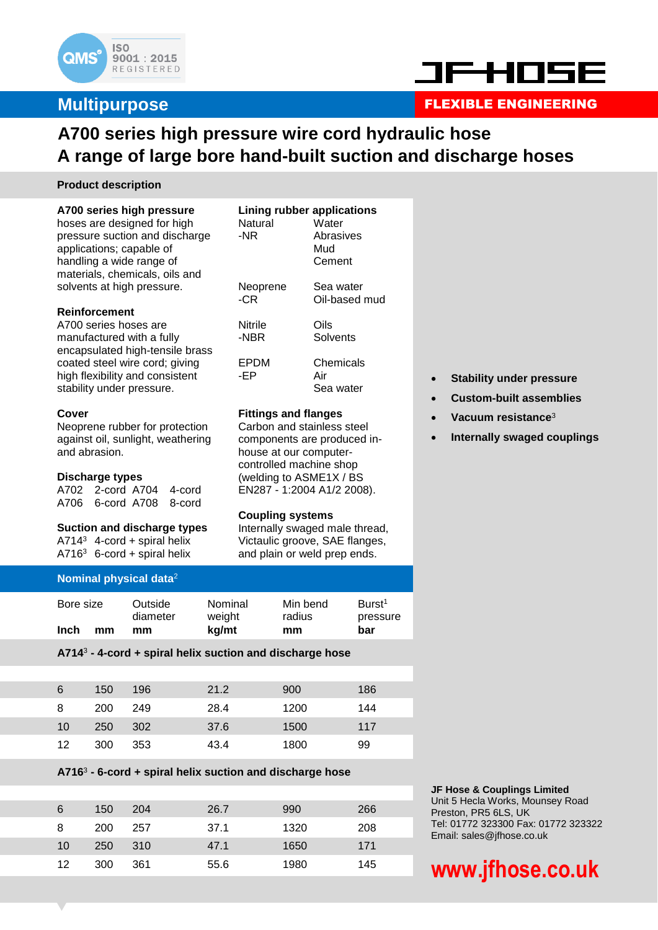

### **Multipurpose**



### FLEXIBLE ENGINEERING

### **A700 series high pressure wire cord hydraulic hose A range of large bore hand-built suction and discharge hoses**

**Lining rubber applications** Natural Water -NR Abrasives

Neoprene Sea water -CR Oil-based mud

EPDM Chemicals

Nitrile Oils -NBR Solvents

-EP Air

**Fittings and flanges** Carbon and stainless steel components are produced inhouse at our computercontrolled machine shop (welding to ASME1X / BS EN287 - 1:2004 A1/2 2008).

**Coupling systems**

Internally swaged male thread, Victaulic groove, SAE flanges, and plain or weld prep ends.

Mud Cement

Sea water

#### **Product description**

#### **A700 series high pressure**

hoses are designed for high pressure suction and discharge applications; capable of handling a wide range of materials, chemicals, oils and solvents at high pressure.

#### **Reinforcement**

A700 series hoses are manufactured with a fully encapsulated high-tensile brass coated steel wire cord; giving high flexibility and consistent stability under pressure.

#### **Cover**

Neoprene rubber for protection against oil, sunlight, weathering and abrasion.

#### **Discharge types**

A702 2-cord A704 4-cord A706 6-cord A708 8-cord

#### **Suction and discharge types**

 $A714^3$  4-cord + spiral helix  $A716^3$  6-cord + spiral helix

#### **Nominal physical data**<sup>2</sup>

| Bore size         | Outside<br>diameter | Nominal<br>weight | Min bend<br>radius | Burst <sup>1</sup><br>pressure |
|-------------------|---------------------|-------------------|--------------------|--------------------------------|
| <b>Inch</b><br>mm | mm                  | kg/mt             | mm                 | bar                            |

#### **A714**<sup>3</sup> **- 4-cord + spiral helix suction and discharge hose**

| 6               | 150 | 196 | 21.2 | 900  | 186 |
|-----------------|-----|-----|------|------|-----|
| 8               | 200 | 249 | 28.4 | 1200 | 144 |
| 10              | 250 | 302 | 37.6 | 1500 | 117 |
| 12 <sup>°</sup> | 300 | 353 | 43.4 | 1800 | 99  |

#### **A716**<sup>3</sup> **- 6-cord + spiral helix suction and discharge hose**

| 6               | 150 | 204  | 26.7 | 990  | 266 |
|-----------------|-----|------|------|------|-----|
| 8               | 200 | 257  | 37.1 | 1320 | 208 |
| 10              | 250 | -310 | 47.1 | 1650 | 171 |
| 12 <sup>1</sup> | 300 | 361  | 55.6 | 1980 | 145 |

- **Stability under pressure**
- **Custom-built assemblies**
- **Vacuum resistance**<sup>3</sup>
- **Internally swaged couplings**

#### **JF Hose & Couplings Limited**

Unit 5 Hecla Works, Mounsey Road Preston, PR5 6LS, UK Tel: 01772 323300 Fax: 01772 323322 Email: sales@jfhose.co.uk

# **www.jfhose.co.uk**